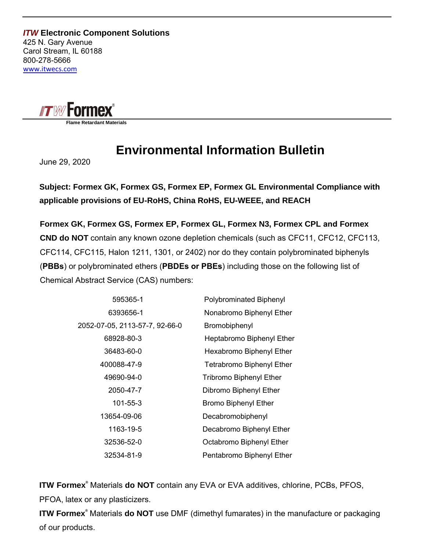*ITW* **Electronic Component Solutions** 425 N. Gary Avenue Carol Stream, IL 60188 800-278-5666 www.itwecs.com



 **Flame Retardant Materials**

## **Environmental Information Bulletin**

June 29, 2020

**Subject: Formex GK, Formex GS, Formex EP, Formex GL Environmental Compliance with applicable provisions of EU-RoHS, China RoHS, EU-WEEE, and REACH**

**Formex GK, Formex GS, Formex EP, Formex GL, Formex N3, Formex CPL and Formex CND do NOT** contain any known ozone depletion chemicals (such as CFC11, CFC12, CFC113, CFC114, CFC115, Halon 1211, 1301, or 2402) nor do they contain polybrominated biphenyls (**PBBs**) or polybrominated ethers (**PBDEs or PBEs**) including those on the following list of Chemical Abstract Service (CAS) numbers:

| 595365-1                       | Polybrominated Biphenyl          |
|--------------------------------|----------------------------------|
| 6393656-1                      | Nonabromo Biphenyl Ether         |
| 2052-07-05, 2113-57-7, 92-66-0 | Bromobiphenyl                    |
| 68928-80-3                     | Heptabromo Biphenyl Ether        |
| 36483-60-0                     | Hexabromo Biphenyl Ether         |
| 400088-47-9                    | <b>Tetrabromo Biphenyl Ether</b> |
| 49690-94-0                     | <b>Tribromo Biphenyl Ether</b>   |
| 2050-47-7                      | Dibromo Biphenyl Ether           |
| 101-55-3                       | <b>Bromo Biphenyl Ether</b>      |
| 13654-09-06                    | Decabromobiphenyl                |
| 1163-19-5                      | Decabromo Biphenyl Ether         |
| 32536-52-0                     | Octabromo Biphenyl Ether         |
| 32534-81-9                     | Pentabromo Biphenyl Ether        |

**ITW Formex®** Materials **do NOT** contain any EVA or EVA additives, chlorine, PCBs, PFOS, PFOA, latex or any plasticizers.

**ITW Formex®** Materials **do NOT** use DMF (dimethyl fumarates) in the manufacture or packaging of our products.